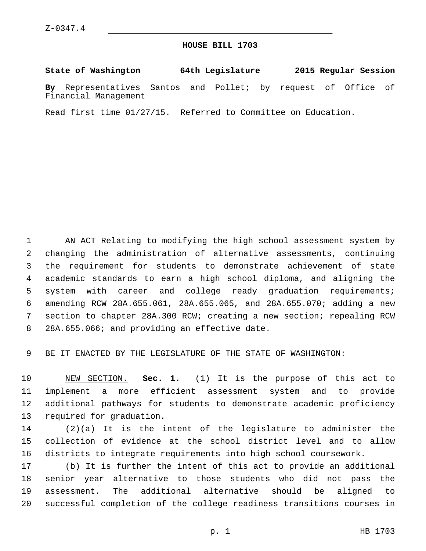## **HOUSE BILL 1703**

**State of Washington 64th Legislature 2015 Regular Session**

**By** Representatives Santos and Pollet; by request of Office of Financial Management

Read first time 01/27/15. Referred to Committee on Education.

 AN ACT Relating to modifying the high school assessment system by changing the administration of alternative assessments, continuing the requirement for students to demonstrate achievement of state academic standards to earn a high school diploma, and aligning the system with career and college ready graduation requirements; amending RCW 28A.655.061, 28A.655.065, and 28A.655.070; adding a new section to chapter 28A.300 RCW; creating a new section; repealing RCW 8 28A.655.066; and providing an effective date.

BE IT ENACTED BY THE LEGISLATURE OF THE STATE OF WASHINGTON:

 NEW SECTION. **Sec. 1.** (1) It is the purpose of this act to implement a more efficient assessment system and to provide additional pathways for students to demonstrate academic proficiency required for graduation.

 (2)(a) It is the intent of the legislature to administer the collection of evidence at the school district level and to allow districts to integrate requirements into high school coursework.

 (b) It is further the intent of this act to provide an additional senior year alternative to those students who did not pass the assessment. The additional alternative should be aligned to successful completion of the college readiness transitions courses in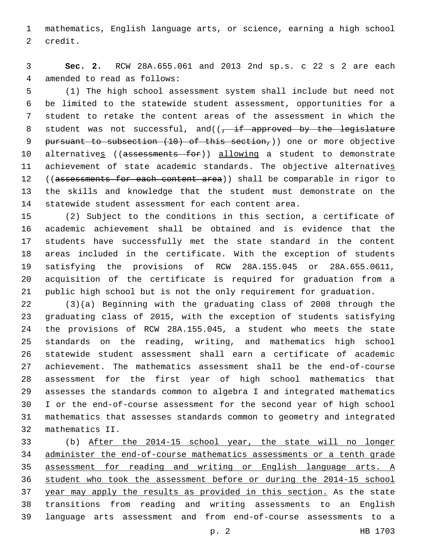mathematics, English language arts, or science, earning a high school 2 credit.

 **Sec. 2.** RCW 28A.655.061 and 2013 2nd sp.s. c 22 s 2 are each 4 amended to read as follows:

 (1) The high school assessment system shall include but need not be limited to the statewide student assessment, opportunities for a student to retake the content areas of the assessment in which the 8 student was not successful, and( $(-i$  if approved by the legislature pursuant to subsection (10) of this section,)) one or more objective 10 alternatives ((assessments for)) allowing a student to demonstrate achievement of state academic standards. The objective alternatives 12 ((assessments for each content area)) shall be comparable in rigor to the skills and knowledge that the student must demonstrate on the statewide student assessment for each content area.

 (2) Subject to the conditions in this section, a certificate of academic achievement shall be obtained and is evidence that the students have successfully met the state standard in the content areas included in the certificate. With the exception of students satisfying the provisions of RCW 28A.155.045 or 28A.655.0611, acquisition of the certificate is required for graduation from a public high school but is not the only requirement for graduation.

 (3)(a) Beginning with the graduating class of 2008 through the graduating class of 2015, with the exception of students satisfying the provisions of RCW 28A.155.045, a student who meets the state standards on the reading, writing, and mathematics high school statewide student assessment shall earn a certificate of academic achievement. The mathematics assessment shall be the end-of-course assessment for the first year of high school mathematics that assesses the standards common to algebra I and integrated mathematics I or the end-of-course assessment for the second year of high school mathematics that assesses standards common to geometry and integrated mathematics II.32

 (b) After the 2014-15 school year, the state will no longer administer the end-of-course mathematics assessments or a tenth grade assessment for reading and writing or English language arts. A student who took the assessment before or during the 2014-15 school year may apply the results as provided in this section. As the state transitions from reading and writing assessments to an English language arts assessment and from end-of-course assessments to a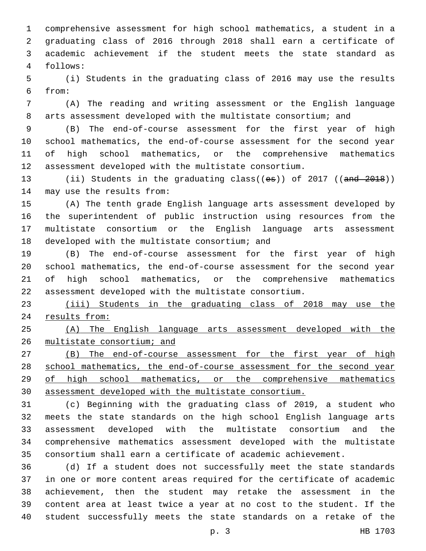comprehensive assessment for high school mathematics, a student in a graduating class of 2016 through 2018 shall earn a certificate of 3 academic achievement if the student meets the state standard as follows:4

 (i) Students in the graduating class of 2016 may use the results from:6

 (A) The reading and writing assessment or the English language arts assessment developed with the multistate consortium; and

 (B) The end-of-course assessment for the first year of high school mathematics, the end-of-course assessment for the second year of high school mathematics, or the comprehensive mathematics assessment developed with the multistate consortium.

13 (ii) Students in the graduating class((es)) of 2017 ((and 2018)) 14 may use the results from:

 (A) The tenth grade English language arts assessment developed by the superintendent of public instruction using resources from the multistate consortium or the English language arts assessment 18 developed with the multistate consortium; and

 (B) The end-of-course assessment for the first year of high school mathematics, the end-of-course assessment for the second year of high school mathematics, or the comprehensive mathematics assessment developed with the multistate consortium.

 (iii) Students in the graduating class of 2018 may use the results from:

 (A) The English language arts assessment developed with the multistate consortium; and

27 (B) The end-of-course assessment for the first year of high 28 school mathematics, the end-of-course assessment for the second year of high school mathematics, or the comprehensive mathematics assessment developed with the multistate consortium.

 (c) Beginning with the graduating class of 2019, a student who meets the state standards on the high school English language arts assessment developed with the multistate consortium and the comprehensive mathematics assessment developed with the multistate consortium shall earn a certificate of academic achievement.

 (d) If a student does not successfully meet the state standards in one or more content areas required for the certificate of academic achievement, then the student may retake the assessment in the content area at least twice a year at no cost to the student. If the student successfully meets the state standards on a retake of the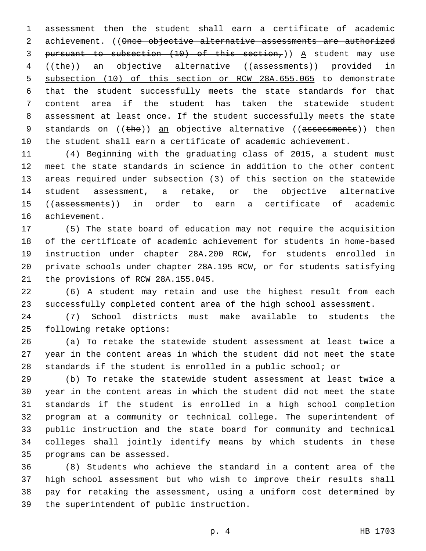assessment then the student shall earn a certificate of academic 2 achievement. ((Once objective alternative assessments are authorized 3 pursuant to subsection  $(10)$  of this section,)) A student may use ((the)) an objective alternative ((assessments)) provided in subsection (10) of this section or RCW 28A.655.065 to demonstrate that the student successfully meets the state standards for that content area if the student has taken the statewide student assessment at least once. If the student successfully meets the state 9 standards on  $((the)$  an objective alternative  $((ass \vee s)$  then the student shall earn a certificate of academic achievement.

 (4) Beginning with the graduating class of 2015, a student must meet the state standards in science in addition to the other content areas required under subsection (3) of this section on the statewide student assessment, a retake, or the objective alternative 15 ((assessments)) in order to earn a certificate of academic 16 achievement.

 (5) The state board of education may not require the acquisition of the certificate of academic achievement for students in home-based instruction under chapter 28A.200 RCW, for students enrolled in private schools under chapter 28A.195 RCW, or for students satisfying 21 the provisions of RCW 28A.155.045.

 (6) A student may retain and use the highest result from each successfully completed content area of the high school assessment.

 (7) School districts must make available to students the 25 following retake options:

 (a) To retake the statewide student assessment at least twice a year in the content areas in which the student did not meet the state standards if the student is enrolled in a public school; or

 (b) To retake the statewide student assessment at least twice a year in the content areas in which the student did not meet the state standards if the student is enrolled in a high school completion program at a community or technical college. The superintendent of public instruction and the state board for community and technical colleges shall jointly identify means by which students in these 35 programs can be assessed.

 (8) Students who achieve the standard in a content area of the high school assessment but who wish to improve their results shall pay for retaking the assessment, using a uniform cost determined by 39 the superintendent of public instruction.

p. 4 HB 1703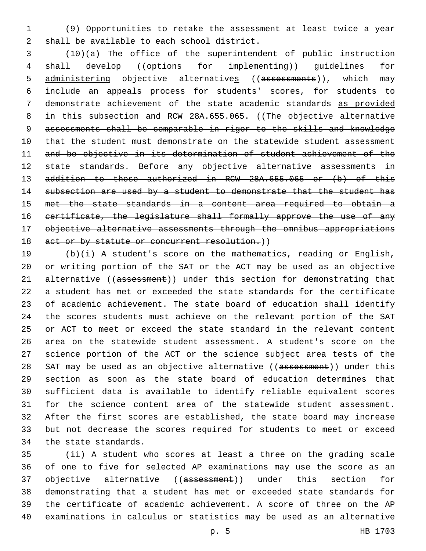(9) Opportunities to retake the assessment at least twice a year 2 shall be available to each school district.

 (10)(a) The office of the superintendent of public instruction 4 shall develop ((options for implementing)) guidelines for 5 administering objective alternatives ((assessments)), which may include an appeals process for students' scores, for students to demonstrate achievement of the state academic standards as provided 8 in this subsection and RCW 28A.655.065. ((The objective alternative assessments shall be comparable in rigor to the skills and knowledge 10 that the student must demonstrate on the statewide student assessment and be objective in its determination of student achievement of the 12 state standards. Before any objective alternative assessments in addition to those authorized in RCW 28A.655.065 or (b) of this 14 subsection are used by a student to demonstrate that the student has met the state standards in a content area required to obtain a certificate, the legislature shall formally approve the use of any objective alternative assessments through the omnibus appropriations 18 act or by statute or concurrent resolution.))

 (b)(i) A student's score on the mathematics, reading or English, or writing portion of the SAT or the ACT may be used as an objective 21 alternative ((assessment)) under this section for demonstrating that a student has met or exceeded the state standards for the certificate of academic achievement. The state board of education shall identify the scores students must achieve on the relevant portion of the SAT or ACT to meet or exceed the state standard in the relevant content area on the statewide student assessment. A student's score on the science portion of the ACT or the science subject area tests of the 28 SAT may be used as an objective alternative ((assessment)) under this section as soon as the state board of education determines that sufficient data is available to identify reliable equivalent scores for the science content area of the statewide student assessment. After the first scores are established, the state board may increase but not decrease the scores required for students to meet or exceed 34 the state standards.

 (ii) A student who scores at least a three on the grading scale of one to five for selected AP examinations may use the score as an 37 objective alternative ((assessment)) under this section for demonstrating that a student has met or exceeded state standards for the certificate of academic achievement. A score of three on the AP examinations in calculus or statistics may be used as an alternative

p. 5 HB 1703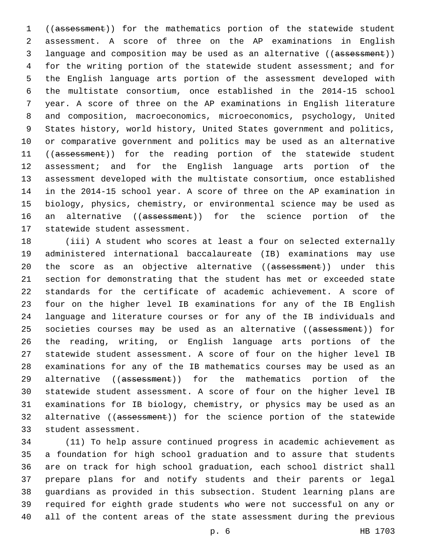((assessment)) for the mathematics portion of the statewide student assessment. A score of three on the AP examinations in English 3 language and composition may be used as an alternative ((assessment)) for the writing portion of the statewide student assessment; and for the English language arts portion of the assessment developed with the multistate consortium, once established in the 2014-15 school year. A score of three on the AP examinations in English literature and composition, macroeconomics, microeconomics, psychology, United States history, world history, United States government and politics, or comparative government and politics may be used as an alternative 11 ((assessment)) for the reading portion of the statewide student assessment; and for the English language arts portion of the assessment developed with the multistate consortium, once established in the 2014-15 school year. A score of three on the AP examination in biology, physics, chemistry, or environmental science may be used as 16 an alternative ((assessment)) for the science portion of the 17 statewide student assessment.

 (iii) A student who scores at least a four on selected externally administered international baccalaureate (IB) examinations may use 20 the score as an objective alternative ((assessment)) under this section for demonstrating that the student has met or exceeded state standards for the certificate of academic achievement. A score of four on the higher level IB examinations for any of the IB English language and literature courses or for any of the IB individuals and 25 societies courses may be used as an alternative ((assessment)) for the reading, writing, or English language arts portions of the statewide student assessment. A score of four on the higher level IB examinations for any of the IB mathematics courses may be used as an 29 alternative ((assessment)) for the mathematics portion of the statewide student assessment. A score of four on the higher level IB examinations for IB biology, chemistry, or physics may be used as an 32 alternative ((assessment)) for the science portion of the statewide 33 student assessment.

 (11) To help assure continued progress in academic achievement as a foundation for high school graduation and to assure that students are on track for high school graduation, each school district shall prepare plans for and notify students and their parents or legal guardians as provided in this subsection. Student learning plans are required for eighth grade students who were not successful on any or all of the content areas of the state assessment during the previous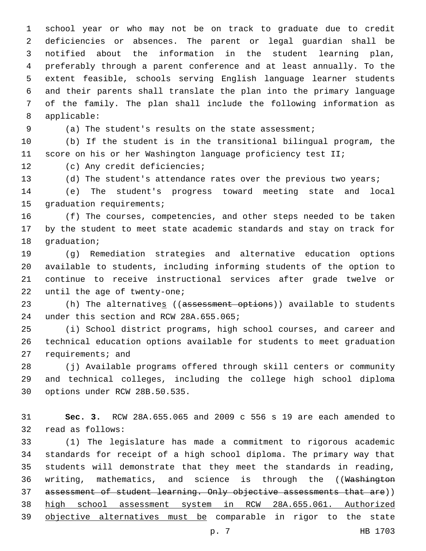school year or who may not be on track to graduate due to credit deficiencies or absences. The parent or legal guardian shall be notified about the information in the student learning plan, preferably through a parent conference and at least annually. To the extent feasible, schools serving English language learner students and their parents shall translate the plan into the primary language of the family. The plan shall include the following information as 8 applicable:

(a) The student's results on the state assessment;

 (b) If the student is in the transitional bilingual program, the score on his or her Washington language proficiency test II;

12 (c) Any credit deficiencies;

13 (d) The student's attendance rates over the previous two years;

 (e) The student's progress toward meeting state and local 15 graduation requirements;

 (f) The courses, competencies, and other steps needed to be taken by the student to meet state academic standards and stay on track for 18 graduation;

 (g) Remediation strategies and alternative education options available to students, including informing students of the option to continue to receive instructional services after grade twelve or 22 until the age of twenty-one;

23 (h) The alternatives ((assessment options)) available to students 24 under this section and RCW 28A.655.065;

 (i) School district programs, high school courses, and career and technical education options available for students to meet graduation 27 requirements; and

 (j) Available programs offered through skill centers or community and technical colleges, including the college high school diploma 30 options under RCW 28B.50.535.

 **Sec. 3.** RCW 28A.655.065 and 2009 c 556 s 19 are each amended to 32 read as follows:

 (1) The legislature has made a commitment to rigorous academic standards for receipt of a high school diploma. The primary way that students will demonstrate that they meet the standards in reading, 36 writing, mathematics, and science is through the ((Washington 37 assessment of student learning. Only objective assessments that are)) high school assessment system in RCW 28A.655.061. Authorized objective alternatives must be comparable in rigor to the state

p. 7 HB 1703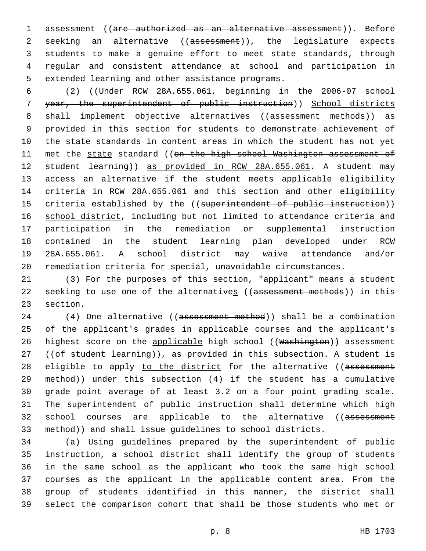assessment ((are authorized as an alternative assessment)). Before 2 seeking an alternative ((assessment)), the legislature expects students to make a genuine effort to meet state standards, through regular and consistent attendance at school and participation in 5 extended learning and other assistance programs.

 (2) ((Under RCW 28A.655.061, beginning in the 2006-07 school year, the superintendent of public instruction)) School districts 8 shall implement objective alternatives ((assessment methods)) as provided in this section for students to demonstrate achievement of the state standards in content areas in which the student has not yet 11 met the state standard ((on the high school Washington assessment of student learning)) as provided in RCW 28A.655.061. A student may access an alternative if the student meets applicable eligibility criteria in RCW 28A.655.061 and this section and other eligibility 15 criteria established by the ((superintendent of public instruction)) 16 school district, including but not limited to attendance criteria and participation in the remediation or supplemental instruction contained in the student learning plan developed under RCW 28A.655.061. A school district may waive attendance and/or remediation criteria for special, unavoidable circumstances.

 (3) For the purposes of this section, "applicant" means a student 22 seeking to use one of the alternatives ((assessment methods)) in this 23 section.

 (4) One alternative ((assessment method)) shall be a combination of the applicant's grades in applicable courses and the applicant's 26 highest score on the applicable high school ((Washington)) assessment 27 ((of student learning)), as provided in this subsection. A student is 28 eligible to apply to the district for the alternative ((assessment method)) under this subsection (4) if the student has a cumulative grade point average of at least 3.2 on a four point grading scale. The superintendent of public instruction shall determine which high 32 school courses are applicable to the alternative ((assessment method)) and shall issue guidelines to school districts.

 (a) Using guidelines prepared by the superintendent of public instruction, a school district shall identify the group of students in the same school as the applicant who took the same high school courses as the applicant in the applicable content area. From the group of students identified in this manner, the district shall select the comparison cohort that shall be those students who met or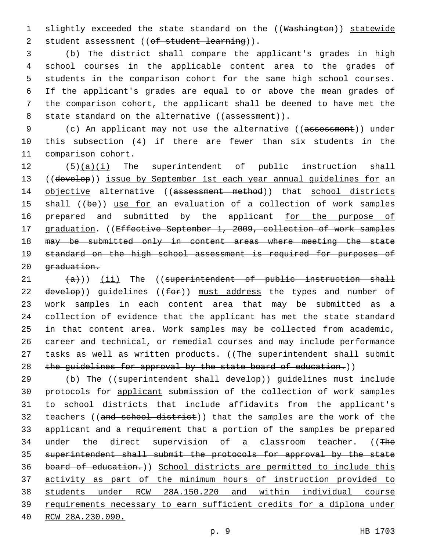1 slightly exceeded the state standard on the ((Washington)) statewide 2 student assessment ((of student learning)).

 (b) The district shall compare the applicant's grades in high school courses in the applicable content area to the grades of students in the comparison cohort for the same high school courses. If the applicant's grades are equal to or above the mean grades of the comparison cohort, the applicant shall be deemed to have met the 8 state standard on the alternative ((assessment)).

9 (c) An applicant may not use the alternative ((assessment)) under 10 this subsection (4) if there are fewer than six students in the 11 comparison cohort.

12 (5)(a)(i) The superintendent of public instruction shall 13 ((develop)) issue by September 1st each year annual guidelines for an 14 objective alternative ((assessment method)) that school districts 15 shall ((be)) use for an evaluation of a collection of work samples 16 prepared and submitted by the applicant for the purpose of 17 graduation. ((Effective September 1, 2009, collection of work samples 18 may be submitted only in content areas where meeting the state 19 standard on the high school assessment is required for purposes of 20 graduation.

 $(4)$ ))  $(i)$  The ((superintendent of public instruction shall  $develop)$ ) guidelines (( $for$ )) must address the types and number of work samples in each content area that may be submitted as a collection of evidence that the applicant has met the state standard in that content area. Work samples may be collected from academic, career and technical, or remedial courses and may include performance 27 tasks as well as written products. ((The superintendent shall submit 28 the guidelines for approval by the state board of education.))

29 (b) The ((superintendent shall develop)) quidelines must include protocols for applicant submission of the collection of work samples to school districts that include affidavits from the applicant's 32 teachers ((and school district)) that the samples are the work of the applicant and a requirement that a portion of the samples be prepared 34 under the direct supervision of a classroom teacher. ((The superintendent shall submit the protocols for approval by the state board of education.)) School districts are permitted to include this activity as part of the minimum hours of instruction provided to students under RCW 28A.150.220 and within individual course requirements necessary to earn sufficient credits for a diploma under RCW 28A.230.090.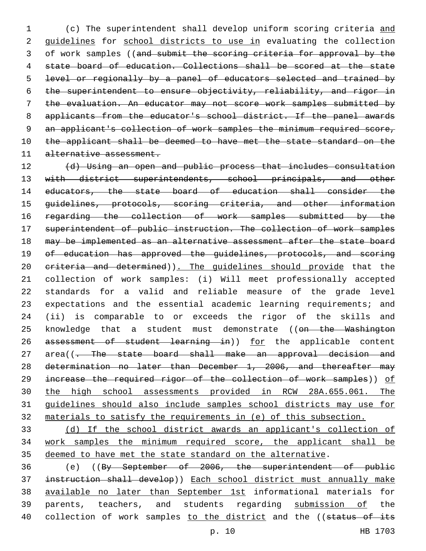1 (c) The superintendent shall develop uniform scoring criteria and 2 guidelines for school districts to use in evaluating the collection 3 of work samples ((and submit the scoring criteria for approval by the 4 state board of education. Collections shall be scored at the state 5 level or regionally by a panel of educators selected and trained by 6 the superintendent to ensure objectivity, reliability, and rigor in 7 the evaluation. An educator may not score work samples submitted by 8 applicants from the educator's school district. If the panel awards 9 an applicant's collection of work samples the minimum required score, 10 the applicant shall be deemed to have met the state standard on the 11 alternative assessment.

12 (d) Using an open and public process that includes consultation 13 with district superintendents, school principals, and other 14 educators, the state board of education shall consider the 15 guidelines, protocols, scoring criteria, and other information 16 regarding the collection of work samples submitted by the 17 superintendent of public instruction. The collection of work samples 18 may be implemented as an alternative assessment after the state board 19 of education has approved the guidelines, protocols, and scoring 20 eriteria and determined)). The guidelines should provide that the 21 collection of work samples: (i) Will meet professionally accepted 22 standards for a valid and reliable measure of the grade level 23 expectations and the essential academic learning requirements; and 24 (ii) is comparable to or exceeds the rigor of the skills and 25 knowledge that a student must demonstrate ((on the Washington 26 assessment of student learning in)) for the applicable content 27 area((- The state board shall make an approval decision and 28 determination no later than December 1, 2006, and thereafter may 29 increase the required rigor of the collection of work samples)) of 30 the high school assessments provided in RCW 28A.655.061. The 31 guidelines should also include samples school districts may use for 32 materials to satisfy the requirements in (e) of this subsection.

33 (d) If the school district awards an applicant's collection of 34 work samples the minimum required score, the applicant shall be 35 deemed to have met the state standard on the alternative.

36 (e) ((By September of 2006, the superintendent of public 37 instruction shall develop)) Each school district must annually make 38 available no later than September 1st informational materials for 39 parents, teachers, and students regarding submission of the 40 collection of work samples to the district and the ((status of its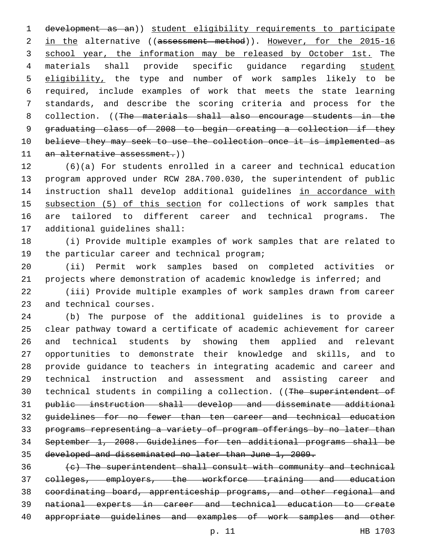development as an)) student eligibility requirements to participate 2 in the alternative ((assessment method)). However, for the 2015-16 3 school year, the information may be released by October 1st. The materials shall provide specific guidance regarding student 5 eligibility, the type and number of work samples likely to be required, include examples of work that meets the state learning standards, and describe the scoring criteria and process for the 8 collection. ((The materials shall also encourage students in the graduating class of 2008 to begin creating a collection if they 10 believe they may seek to use the collection once it is implemented as 11 an alternative assessment.))

 (6)(a) For students enrolled in a career and technical education program approved under RCW 28A.700.030, the superintendent of public 14 instruction shall develop additional guidelines in accordance with 15 subsection (5) of this section for collections of work samples that are tailored to different career and technical programs. The 17 additional quidelines shall:

 (i) Provide multiple examples of work samples that are related to 19 the particular career and technical program;

 (ii) Permit work samples based on completed activities or projects where demonstration of academic knowledge is inferred; and

 (iii) Provide multiple examples of work samples drawn from career 23 and technical courses.

 (b) The purpose of the additional guidelines is to provide a clear pathway toward a certificate of academic achievement for career and technical students by showing them applied and relevant opportunities to demonstrate their knowledge and skills, and to provide guidance to teachers in integrating academic and career and technical instruction and assessment and assisting career and 30 technical students in compiling a collection. ((The superintendent of public instruction shall develop and disseminate additional guidelines for no fewer than ten career and technical education programs representing a variety of program offerings by no later than September 1, 2008. Guidelines for ten additional programs shall be developed and disseminated no later than June 1, 2009.

 (c) The superintendent shall consult with community and technical colleges, employers, the workforce training and education coordinating board, apprenticeship programs, and other regional and national experts in career and technical education to create appropriate guidelines and examples of work samples and other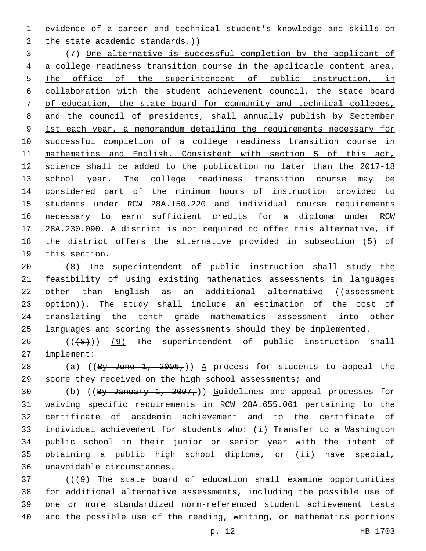evidence of a career and technical student's knowledge and skills on

2 the state academic standards.))

 (7) One alternative is successful completion by the applicant of a college readiness transition course in the applicable content area. 5 The office of the superintendent of public instruction, in collaboration with the student achievement council, the state board of education, the state board for community and technical colleges, and the council of presidents, shall annually publish by September 1st each year, a memorandum detailing the requirements necessary for successful completion of a college readiness transition course in mathematics and English. Consistent with section 5 of this act, science shall be added to the publication no later than the 2017-18 13 school year. The college readiness transition course may be considered part of the minimum hours of instruction provided to students under RCW 28A.150.220 and individual course requirements necessary to earn sufficient credits for a diploma under RCW 28A.230.090. A district is not required to offer this alternative, if the district offers the alternative provided in subsection (5) of this section.

 (8) The superintendent of public instruction shall study the feasibility of using existing mathematics assessments in languages 22 other than English as an additional alternative ((assessment option)). The study shall include an estimation of the cost of translating the tenth grade mathematics assessment into other languages and scoring the assessments should they be implemented.

  $((+8+))$  (9) The superintendent of public instruction shall implement:27

28 (a) ((By June 1, ,)) A process for students to appeal the score they received on the high school assessments; and

30 (b) ((By January 1,  $2007<sub>r</sub>$ )) Guidelines and appeal processes for waiving specific requirements in RCW 28A.655.061 pertaining to the certificate of academic achievement and to the certificate of individual achievement for students who: (i) Transfer to a Washington public school in their junior or senior year with the intent of obtaining a public high school diploma, or (ii) have special, unavoidable circumstances.36

 ( $(49)$  The state board of education shall examine opportunities for additional alternative assessments, including the possible use of one or more standardized norm-referenced student achievement tests 40 and the possible use of the reading, writing, or mathematics portions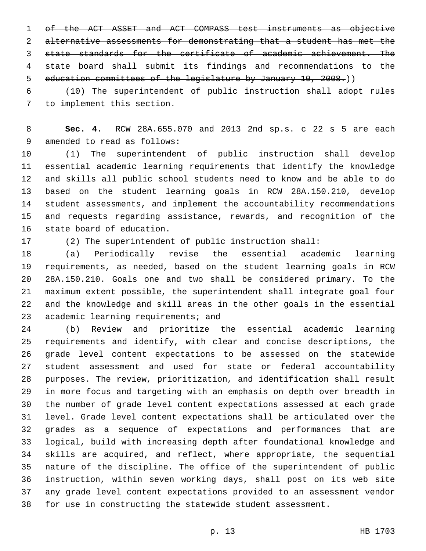of the ACT ASSET and ACT COMPASS test instruments as objective alternative assessments for demonstrating that a student has met the state standards for the certificate of academic achievement. The state board shall submit its findings and recommendations to the education committees of the legislature by January 10, 2008.))

 (10) The superintendent of public instruction shall adopt rules 7 to implement this section.

 **Sec. 4.** RCW 28A.655.070 and 2013 2nd sp.s. c 22 s 5 are each 9 amended to read as follows:

 (1) The superintendent of public instruction shall develop essential academic learning requirements that identify the knowledge and skills all public school students need to know and be able to do based on the student learning goals in RCW 28A.150.210, develop student assessments, and implement the accountability recommendations and requests regarding assistance, rewards, and recognition of the 16 state board of education.

(2) The superintendent of public instruction shall:

 (a) Periodically revise the essential academic learning requirements, as needed, based on the student learning goals in RCW 28A.150.210. Goals one and two shall be considered primary. To the maximum extent possible, the superintendent shall integrate goal four and the knowledge and skill areas in the other goals in the essential 23 academic learning requirements; and

 (b) Review and prioritize the essential academic learning requirements and identify, with clear and concise descriptions, the grade level content expectations to be assessed on the statewide student assessment and used for state or federal accountability purposes. The review, prioritization, and identification shall result in more focus and targeting with an emphasis on depth over breadth in the number of grade level content expectations assessed at each grade level. Grade level content expectations shall be articulated over the grades as a sequence of expectations and performances that are logical, build with increasing depth after foundational knowledge and skills are acquired, and reflect, where appropriate, the sequential nature of the discipline. The office of the superintendent of public instruction, within seven working days, shall post on its web site any grade level content expectations provided to an assessment vendor for use in constructing the statewide student assessment.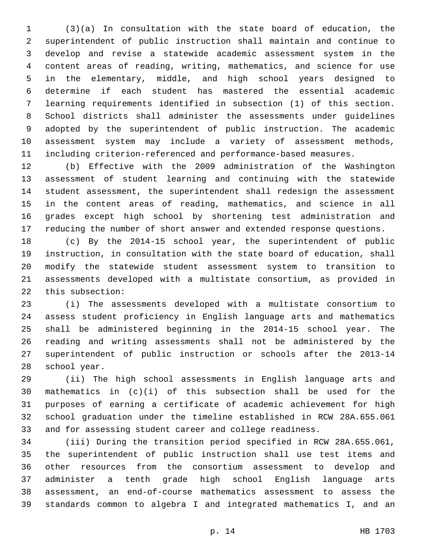(3)(a) In consultation with the state board of education, the superintendent of public instruction shall maintain and continue to develop and revise a statewide academic assessment system in the content areas of reading, writing, mathematics, and science for use in the elementary, middle, and high school years designed to determine if each student has mastered the essential academic learning requirements identified in subsection (1) of this section. School districts shall administer the assessments under guidelines adopted by the superintendent of public instruction. The academic assessment system may include a variety of assessment methods, including criterion-referenced and performance-based measures.

 (b) Effective with the 2009 administration of the Washington assessment of student learning and continuing with the statewide student assessment, the superintendent shall redesign the assessment in the content areas of reading, mathematics, and science in all grades except high school by shortening test administration and reducing the number of short answer and extended response questions.

 (c) By the 2014-15 school year, the superintendent of public instruction, in consultation with the state board of education, shall modify the statewide student assessment system to transition to assessments developed with a multistate consortium, as provided in 22 this subsection:

 (i) The assessments developed with a multistate consortium to assess student proficiency in English language arts and mathematics shall be administered beginning in the 2014-15 school year. The reading and writing assessments shall not be administered by the superintendent of public instruction or schools after the 2013-14 28 school year.

 (ii) The high school assessments in English language arts and mathematics in (c)(i) of this subsection shall be used for the purposes of earning a certificate of academic achievement for high school graduation under the timeline established in RCW 28A.655.061 and for assessing student career and college readiness.

 (iii) During the transition period specified in RCW 28A.655.061, the superintendent of public instruction shall use test items and other resources from the consortium assessment to develop and administer a tenth grade high school English language arts assessment, an end-of-course mathematics assessment to assess the standards common to algebra I and integrated mathematics I, and an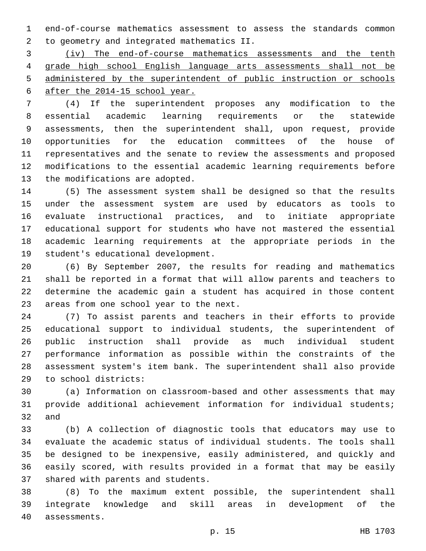end-of-course mathematics assessment to assess the standards common to geometry and integrated mathematics II.2

 (iv) The end-of-course mathematics assessments and the tenth grade high school English language arts assessments shall not be administered by the superintendent of public instruction or schools after the 2014-15 school year.

 (4) If the superintendent proposes any modification to the essential academic learning requirements or the statewide assessments, then the superintendent shall, upon request, provide opportunities for the education committees of the house of representatives and the senate to review the assessments and proposed modifications to the essential academic learning requirements before 13 the modifications are adopted.

 (5) The assessment system shall be designed so that the results under the assessment system are used by educators as tools to evaluate instructional practices, and to initiate appropriate educational support for students who have not mastered the essential academic learning requirements at the appropriate periods in the 19 student's educational development.

 (6) By September 2007, the results for reading and mathematics shall be reported in a format that will allow parents and teachers to determine the academic gain a student has acquired in those content 23 areas from one school year to the next.

 (7) To assist parents and teachers in their efforts to provide educational support to individual students, the superintendent of public instruction shall provide as much individual student performance information as possible within the constraints of the assessment system's item bank. The superintendent shall also provide to school districts:29

 (a) Information on classroom-based and other assessments that may provide additional achievement information for individual students; and

 (b) A collection of diagnostic tools that educators may use to evaluate the academic status of individual students. The tools shall be designed to be inexpensive, easily administered, and quickly and easily scored, with results provided in a format that may be easily 37 shared with parents and students.

 (8) To the maximum extent possible, the superintendent shall integrate knowledge and skill areas in development of the 40 assessments.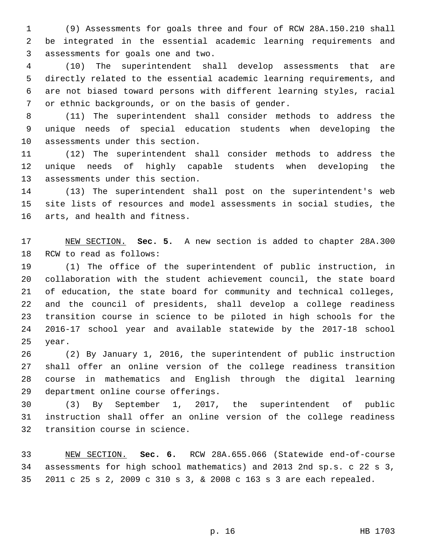(9) Assessments for goals three and four of RCW 28A.150.210 shall be integrated in the essential academic learning requirements and assessments for goals one and two.3

 (10) The superintendent shall develop assessments that are directly related to the essential academic learning requirements, and are not biased toward persons with different learning styles, racial 7 or ethnic backgrounds, or on the basis of gender.

 (11) The superintendent shall consider methods to address the unique needs of special education students when developing the 10 assessments under this section.

 (12) The superintendent shall consider methods to address the unique needs of highly capable students when developing the 13 assessments under this section.

 (13) The superintendent shall post on the superintendent's web site lists of resources and model assessments in social studies, the 16 arts, and health and fitness.

 NEW SECTION. **Sec. 5.** A new section is added to chapter 28A.300 18 RCW to read as follows:

 (1) The office of the superintendent of public instruction, in collaboration with the student achievement council, the state board of education, the state board for community and technical colleges, and the council of presidents, shall develop a college readiness transition course in science to be piloted in high schools for the 2016-17 school year and available statewide by the 2017-18 school 25 year.

 (2) By January 1, 2016, the superintendent of public instruction shall offer an online version of the college readiness transition course in mathematics and English through the digital learning 29 department online course offerings.

 (3) By September 1, 2017, the superintendent of public instruction shall offer an online version of the college readiness 32 transition course in science.

 NEW SECTION. **Sec. 6.** RCW 28A.655.066 (Statewide end-of-course assessments for high school mathematics) and 2013 2nd sp.s. c 22 s 3, 2011 c 25 s 2, 2009 c 310 s 3, & 2008 c 163 s 3 are each repealed.